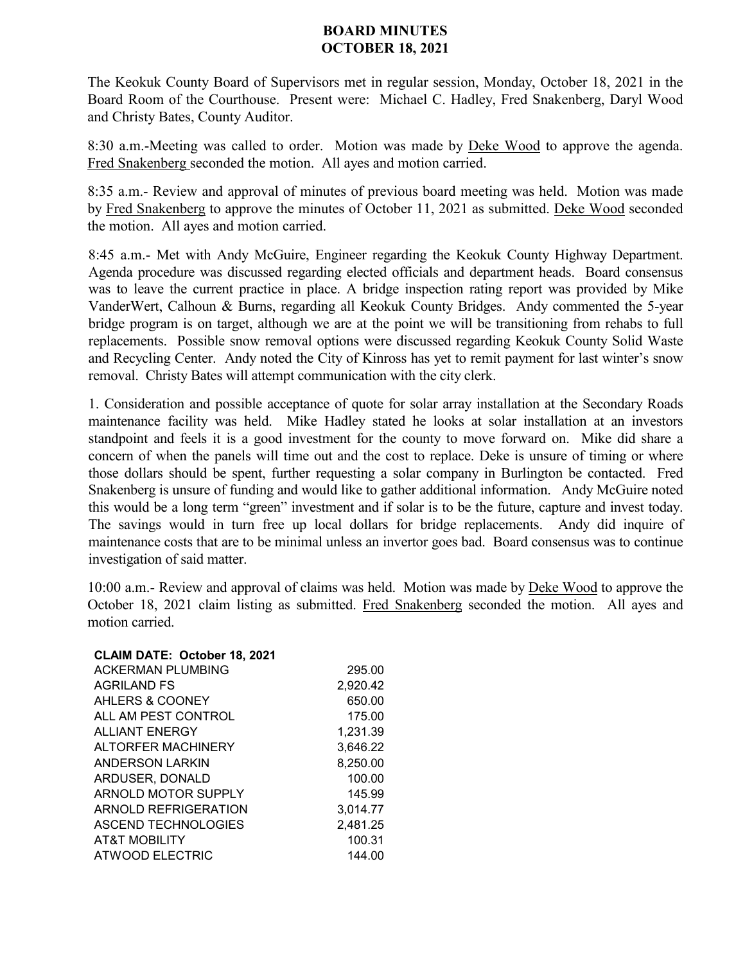## **BOARD MINUTES OCTOBER 18, 2021**

The Keokuk County Board of Supervisors met in regular session, Monday, October 18, 2021 in the Board Room of the Courthouse. Present were: Michael C. Hadley, Fred Snakenberg, Daryl Wood and Christy Bates, County Auditor.

8:30 a.m.-Meeting was called to order. Motion was made by **Deke Wood** to approve the agenda. Fred Snakenberg seconded the motion. All ayes and motion carried.

8:35 a.m.- Review and approval of minutes of previous board meeting was held. Motion was made by Fred Snakenberg to approve the minutes of October 11, 2021 as submitted. Deke Wood seconded the motion. All ayes and motion carried.

8:45 a.m.- Met with Andy McGuire, Engineer regarding the Keokuk County Highway Department. Agenda procedure was discussed regarding elected officials and department heads. Board consensus was to leave the current practice in place. A bridge inspection rating report was provided by Mike VanderWert, Calhoun & Burns, regarding all Keokuk County Bridges. Andy commented the 5-year bridge program is on target, although we are at the point we will be transitioning from rehabs to full replacements. Possible snow removal options were discussed regarding Keokuk County Solid Waste and Recycling Center. Andy noted the City of Kinross has yet to remit payment for last winter's snow removal. Christy Bates will attempt communication with the city clerk.

1. Consideration and possible acceptance of quote for solar array installation at the Secondary Roads maintenance facility was held. Mike Hadley stated he looks at solar installation at an investors standpoint and feels it is a good investment for the county to move forward on. Mike did share a concern of when the panels will time out and the cost to replace. Deke is unsure of timing or where those dollars should be spent, further requesting a solar company in Burlington be contacted. Fred Snakenberg is unsure of funding and would like to gather additional information. Andy McGuire noted this would be a long term "green" investment and if solar is to be the future, capture and invest today. The savings would in turn free up local dollars for bridge replacements. Andy did inquire of maintenance costs that are to be minimal unless an invertor goes bad. Board consensus was to continue investigation of said matter.

10:00 a.m.- Review and approval of claims was held. Motion was made by Deke Wood to approve the October 18, 2021 claim listing as submitted. Fred Snakenberg seconded the motion. All ayes and motion carried.

## **CLAIM DATE: October 18, 2021**

| ACKERMAN PLUMBING        | 295.00   |
|--------------------------|----------|
| <b>AGRILAND FS</b>       | 2,920.42 |
| AHLERS & COONEY          | 650.00   |
| ALL AM PEST CONTROL      | 175.00   |
| <b>ALLIANT ENERGY</b>    | 1,231.39 |
| ALTORFER MACHINERY       | 3.646.22 |
| ANDERSON LARKIN          | 8,250.00 |
| ARDUSER, DONALD          | 100.00   |
| ARNOLD MOTOR SUPPLY      | 145.99   |
| ARNOLD REFRIGERATION     | 3.014.77 |
| ASCEND TECHNOLOGIES      | 2,481.25 |
| <b>AT&amp;T MOBILITY</b> | 100.31   |
| <b>ATWOOD ELECTRIC</b>   | 144.00   |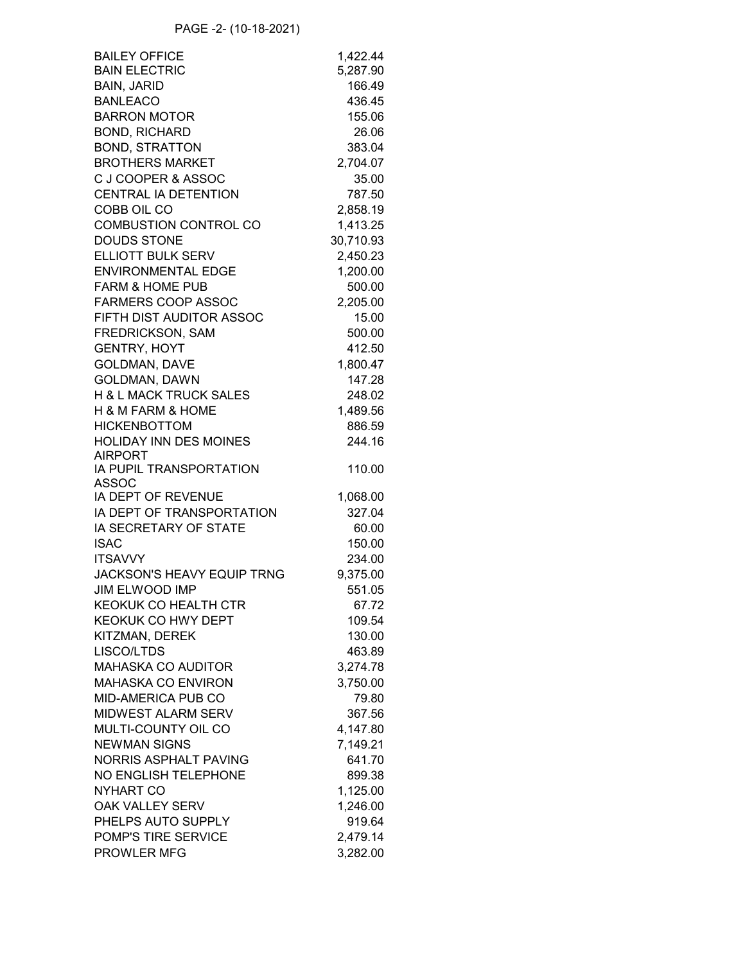| <b>BAILEY OFFICE</b>              | 1,422.44  |
|-----------------------------------|-----------|
| <b>BAIN ELECTRIC</b>              | 5,287.90  |
| <b>BAIN, JARID</b>                | 166.49    |
| <b>BANLEACO</b>                   | 436.45    |
| <b>BARRON MOTOR</b>               | 155.06    |
| <b>BOND, RICHARD</b>              | 26.06     |
| <b>BOND, STRATTON</b>             | 383.04    |
| <b>BROTHERS MARKET</b>            | 2,704.07  |
| C J COOPER & ASSOC                | 35.00     |
| CENTRAL IA DETENTION              | 787.50    |
| COBB OIL CO                       |           |
|                                   | 2,858.19  |
| COMBUSTION CONTROL CO             | 1,413.25  |
| <b>DOUDS STONE</b>                | 30,710.93 |
| ELLIOTT BULK SERV                 | 2,450.23  |
| <b>ENVIRONMENTAL EDGE</b>         | 1,200.00  |
| <b>FARM &amp; HOME PUB</b>        | 500.00    |
| <b>FARMERS COOP ASSOC</b>         | 2,205.00  |
| FIFTH DIST AUDITOR ASSOC          | 15.00     |
| FREDRICKSON, SAM                  | 500.00    |
| <b>GENTRY, HOYT</b>               | 412.50    |
| GOLDMAN, DAVE                     | 1,800.47  |
| <b>GOLDMAN, DAWN</b>              | 147.28    |
| H & L MACK TRUCK SALES            | 248.02    |
| H & M FARM & HOME                 | 1,489.56  |
| <b>HICKENBOTTOM</b>               | 886.59    |
| <b>HOLIDAY INN DES MOINES</b>     | 244.16    |
| <b>AIRPORT</b>                    |           |
| IA PUPIL TRANSPORTATION           | 110.00    |
| <b>ASSOC</b>                      |           |
| IA DEPT OF REVENUE                | 1,068.00  |
| IA DEPT OF TRANSPORTATION         | 327.04    |
| <b>IA SECRETARY OF STATE</b>      | 60.00     |
| <b>ISAC</b>                       | 150.00    |
| <b>ITSAVVY</b>                    |           |
|                                   | 234.00    |
| <b>JACKSON'S HEAVY EQUIP TRNG</b> | 9,375.00  |
| <b>JIM ELWOOD IMP</b>             | 551.05    |
| KEOKUK CO HEALTH CTR              | 67.72     |
| KEOKUK CO HWY DEPT                | 109.54    |
| KITZMAN, DEREK                    | 130.00    |
| LISCO/LTDS                        | 463.89    |
| <b>MAHASKA CO AUDITOR</b>         | 3,274.78  |
| <b>MAHASKA CO ENVIRON</b>         | 3,750.00  |
| <b>MID-AMERICA PUB CO</b>         | 79.80     |
| <b>MIDWEST ALARM SERV</b>         | 367.56    |
| MULTI-COUNTY OIL CO               | 4,147.80  |
| <b>NEWMAN SIGNS</b>               | 7,149.21  |
| NORRIS ASPHALT PAVING             | 641.70    |
| NO ENGLISH TELEPHONE              | 899.38    |
|                                   |           |
| NYHART CO                         | 1,125.00  |
| OAK VALLEY SERV                   | 1,246.00  |
| PHELPS AUTO SUPPLY                | 919.64    |
| POMP'S TIRE SERVICE               | 2,479.14  |
| PROWLER MFG                       | 3,282.00  |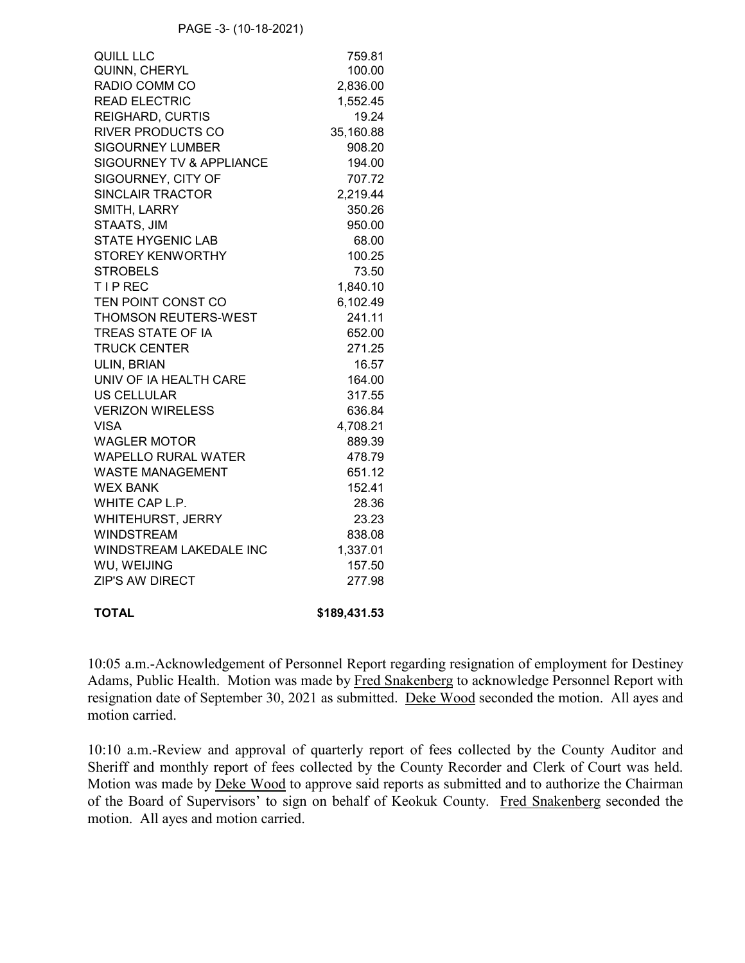| <b>QUILL LLC</b>                    | 759.81    |
|-------------------------------------|-----------|
| QUINN, CHERYL                       | 100.00    |
| RADIO COMM CO                       | 2,836.00  |
| <b>READ ELECTRIC</b>                | 1,552.45  |
| <b>REIGHARD, CURTIS</b>             | 19.24     |
| <b>RIVER PRODUCTS CO</b>            | 35,160.88 |
| <b>SIGOURNEY LUMBER</b>             | 908.20    |
| <b>SIGOURNEY TV &amp; APPLIANCE</b> | 194.00    |
| SIGOURNEY, CITY OF                  | 707.72    |
| SINCLAIR TRACTOR                    | 2,219.44  |
| SMITH, LARRY                        | 350.26    |
| STAATS, JIM                         | 950.00    |
| <b>STATE HYGENIC LAB</b>            | 68.00     |
| <b>STOREY KENWORTHY</b>             | 100.25    |
| <b>STROBELS</b>                     | 73.50     |
| <b>TIPREC</b>                       | 1,840.10  |
| TEN POINT CONST CO                  | 6,102.49  |
| <b>THOMSON REUTERS-WEST</b>         | 241.11    |
| TREAS STATE OF IA                   | 652.00    |
| <b>TRUCK CENTER</b>                 | 271.25    |
| ULIN, BRIAN                         | 16.57     |
| UNIV OF IA HEALTH CARE              | 164.00    |
| <b>US CELLULAR</b>                  | 317.55    |
| <b>VERIZON WIRELESS</b>             | 636.84    |
| <b>VISA</b>                         | 4,708.21  |
| <b>WAGLER MOTOR</b>                 | 889.39    |
| <b>WAPELLO RURAL WATER</b>          | 478.79    |
| <b>WASTE MANAGEMENT</b>             | 651.12    |
| <b>WEX BANK</b>                     | 152.41    |
| WHITE CAP L.P.                      | 28.36     |
| WHITEHURST, JERRY                   | 23.23     |
| <b>WINDSTREAM</b>                   | 838.08    |
| WINDSTREAM LAKEDALE INC             | 1,337.01  |
| WU, WEIJING                         | 157.50    |
| <b>ZIP'S AW DIRECT</b>              | 277.98    |
|                                     |           |

**TOTAL \$189,431.53**

10:05 a.m.-Acknowledgement of Personnel Report regarding resignation of employment for Destiney Adams, Public Health. Motion was made by Fred Snakenberg to acknowledge Personnel Report with resignation date of September 30, 2021 as submitted. Deke Wood seconded the motion. All ayes and motion carried.

10:10 a.m.-Review and approval of quarterly report of fees collected by the County Auditor and Sheriff and monthly report of fees collected by the County Recorder and Clerk of Court was held. Motion was made by Deke Wood to approve said reports as submitted and to authorize the Chairman of the Board of Supervisors' to sign on behalf of Keokuk County. Fred Snakenberg seconded the motion. All ayes and motion carried.